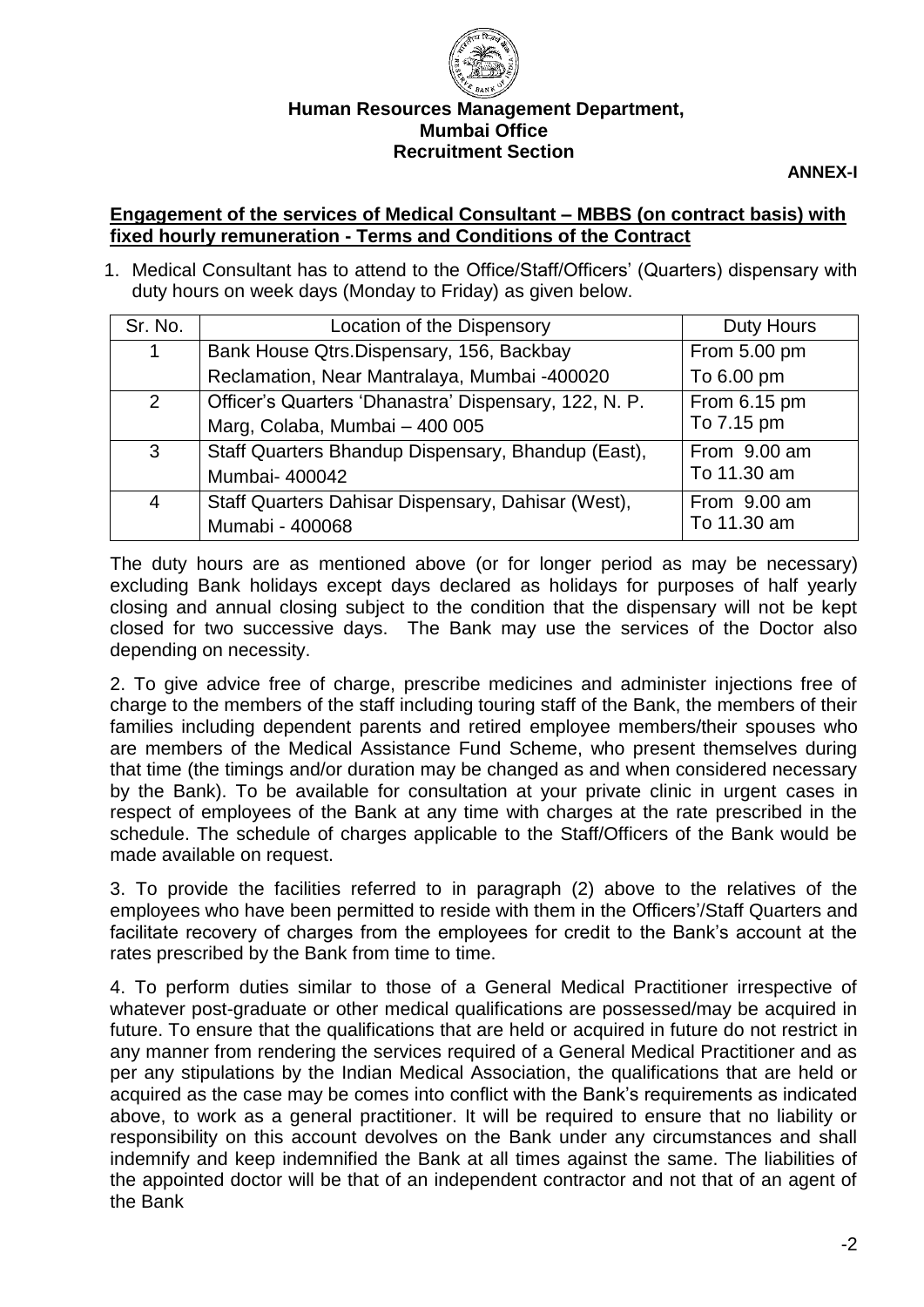

## **Human Resources Management Department, Mumbai Office Recruitment Section**

**ANNEX-I** 

### **Engagement of the services of Medical Consultant – MBBS (on contract basis) with fixed hourly remuneration - Terms and Conditions of the Contract**

1. Medical Consultant has to attend to the Office/Staff/Officers' (Quarters) dispensary with duty hours on week days (Monday to Friday) as given below.

| Sr. No.      | Location of the Dispensory                            | <b>Duty Hours</b> |  |
|--------------|-------------------------------------------------------|-------------------|--|
| 1            | Bank House Qtrs.Dispensary, 156, Backbay              | From 5.00 pm      |  |
|              | Reclamation, Near Mantralaya, Mumbai -400020          | To 6.00 pm        |  |
| 2            | Officer's Quarters 'Dhanastra' Dispensary, 122, N. P. | From 6.15 pm      |  |
|              | Marg, Colaba, Mumbai - 400 005                        | To 7.15 pm        |  |
| $\mathbf{3}$ | Staff Quarters Bhandup Dispensary, Bhandup (East),    | From 9.00 am      |  |
|              | Mumbai- 400042                                        | To 11.30 am       |  |
| 4            | Staff Quarters Dahisar Dispensary, Dahisar (West),    | From 9.00 am      |  |
|              | Mumabi - 400068                                       | To 11.30 am       |  |

The duty hours are as mentioned above (or for longer period as may be necessary) excluding Bank holidays except days declared as holidays for purposes of half yearly closing and annual closing subject to the condition that the dispensary will not be kept closed for two successive days. The Bank may use the services of the Doctor also depending on necessity.

2. To give advice free of charge, prescribe medicines and administer injections free of charge to the members of the staff including touring staff of the Bank, the members of their families including dependent parents and retired employee members/their spouses who are members of the Medical Assistance Fund Scheme, who present themselves during that time (the timings and/or duration may be changed as and when considered necessary by the Bank). To be available for consultation at your private clinic in urgent cases in respect of employees of the Bank at any time with charges at the rate prescribed in the schedule. The schedule of charges applicable to the Staff/Officers of the Bank would be made available on request.

3. To provide the facilities referred to in paragraph (2) above to the relatives of the employees who have been permitted to reside with them in the Officers'/Staff Quarters and facilitate recovery of charges from the employees for credit to the Bank's account at the rates prescribed by the Bank from time to time.

4. To perform duties similar to those of a General Medical Practitioner irrespective of whatever post-graduate or other medical qualifications are possessed/may be acquired in future. To ensure that the qualifications that are held or acquired in future do not restrict in any manner from rendering the services required of a General Medical Practitioner and as per any stipulations by the Indian Medical Association, the qualifications that are held or acquired as the case may be comes into conflict with the Bank's requirements as indicated above, to work as a general practitioner. It will be required to ensure that no liability or responsibility on this account devolves on the Bank under any circumstances and shall indemnify and keep indemnified the Bank at all times against the same. The liabilities of the appointed doctor will be that of an independent contractor and not that of an agent of the Bank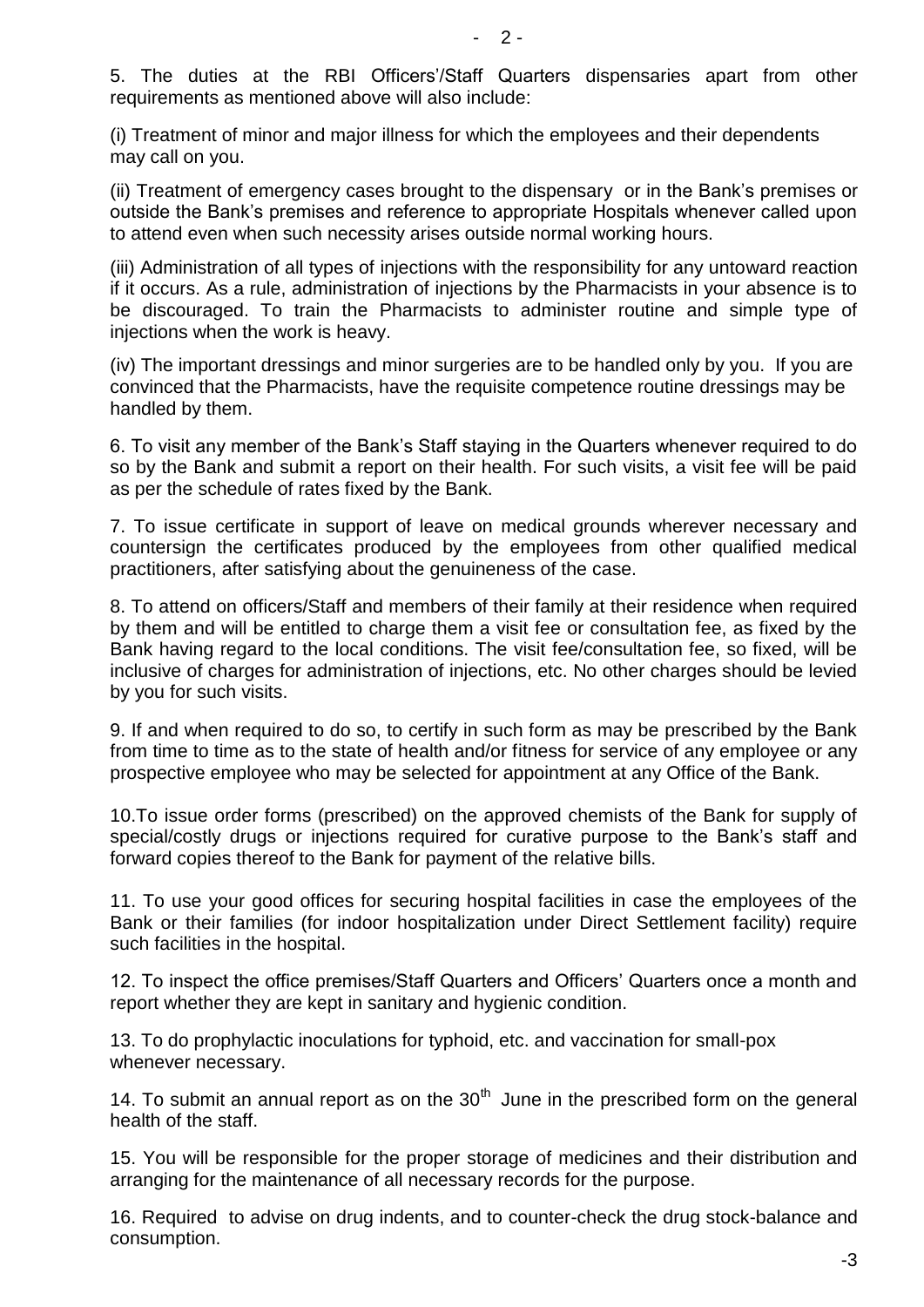5. The duties at the RBI Officers'/Staff Quarters dispensaries apart from other requirements as mentioned above will also include:

(i) Treatment of minor and major illness for which the employees and their dependents may call on you.

(ii) Treatment of emergency cases brought to the dispensary or in the Bank's premises or outside the Bank's premises and reference to appropriate Hospitals whenever called upon to attend even when such necessity arises outside normal working hours.

(iii) Administration of all types of injections with the responsibility for any untoward reaction if it occurs. As a rule, administration of injections by the Pharmacists in your absence is to be discouraged. To train the Pharmacists to administer routine and simple type of injections when the work is heavy.

(iv) The important dressings and minor surgeries are to be handled only by you. If you are convinced that the Pharmacists, have the requisite competence routine dressings may be handled by them.

6. To visit any member of the Bank's Staff staying in the Quarters whenever required to do so by the Bank and submit a report on their health. For such visits, a visit fee will be paid as per the schedule of rates fixed by the Bank.

7. To issue certificate in support of leave on medical grounds wherever necessary and countersign the certificates produced by the employees from other qualified medical practitioners, after satisfying about the genuineness of the case.

8. To attend on officers/Staff and members of their family at their residence when required by them and will be entitled to charge them a visit fee or consultation fee, as fixed by the Bank having regard to the local conditions. The visit fee/consultation fee, so fixed, will be inclusive of charges for administration of injections, etc. No other charges should be levied by you for such visits.

9. If and when required to do so, to certify in such form as may be prescribed by the Bank from time to time as to the state of health and/or fitness for service of any employee or any prospective employee who may be selected for appointment at any Office of the Bank.

10.To issue order forms (prescribed) on the approved chemists of the Bank for supply of special/costly drugs or injections required for curative purpose to the Bank's staff and forward copies thereof to the Bank for payment of the relative bills.

11. To use your good offices for securing hospital facilities in case the employees of the Bank or their families (for indoor hospitalization under Direct Settlement facility) require such facilities in the hospital.

12. To inspect the office premises/Staff Quarters and Officers' Quarters once a month and report whether they are kept in sanitary and hygienic condition.

13. To do prophylactic inoculations for typhoid, etc. and vaccination for small-pox whenever necessary.

14. To submit an annual report as on the  $30<sup>th</sup>$  June in the prescribed form on the general health of the staff.

15. You will be responsible for the proper storage of medicines and their distribution and arranging for the maintenance of all necessary records for the purpose.

16. Required to advise on drug indents, and to counter-check the drug stock-balance and consumption.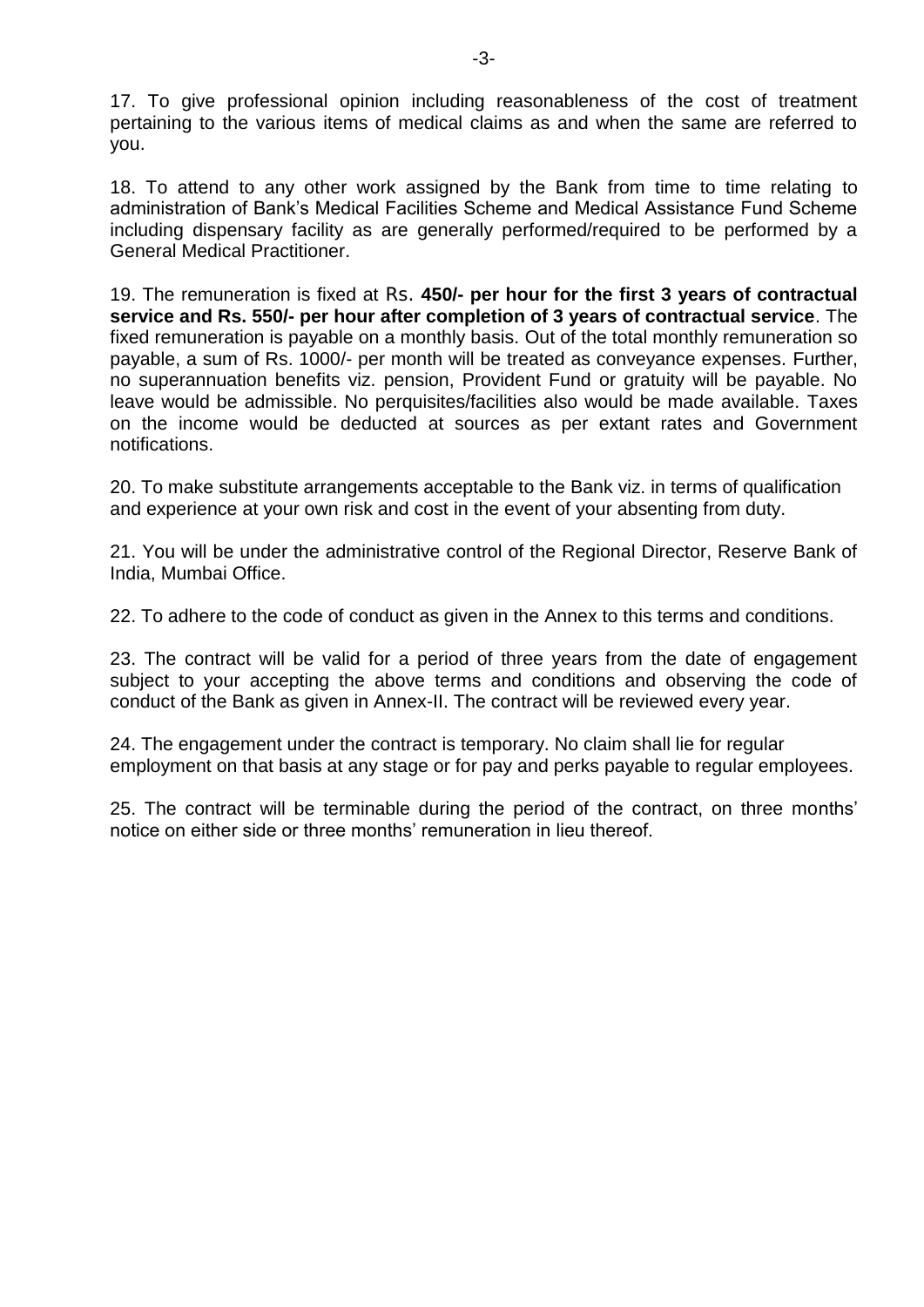17. To give professional opinion including reasonableness of the cost of treatment pertaining to the various items of medical claims as and when the same are referred to you.

18. To attend to any other work assigned by the Bank from time to time relating to administration of Bank's Medical Facilities Scheme and Medical Assistance Fund Scheme including dispensary facility as are generally performed/required to be performed by a General Medical Practitioner.

19. The remuneration is fixed at Rs. **450/- per hour for the first 3 years of contractual service and Rs. 550/- per hour after completion of 3 years of contractual service**. The fixed remuneration is payable on a monthly basis. Out of the total monthly remuneration so payable, a sum of Rs. 1000/- per month will be treated as conveyance expenses. Further, no superannuation benefits viz. pension, Provident Fund or gratuity will be payable. No leave would be admissible. No perquisites/facilities also would be made available. Taxes on the income would be deducted at sources as per extant rates and Government notifications.

20. To make substitute arrangements acceptable to the Bank viz. in terms of qualification and experience at your own risk and cost in the event of your absenting from duty.

21. You will be under the administrative control of the Regional Director, Reserve Bank of India, Mumbai Office.

22. To adhere to the code of conduct as given in the Annex to this terms and conditions.

23. The contract will be valid for a period of three years from the date of engagement subject to your accepting the above terms and conditions and observing the code of conduct of the Bank as given in Annex-II. The contract will be reviewed every year.

24. The engagement under the contract is temporary. No claim shall lie for regular employment on that basis at any stage or for pay and perks payable to regular employees.

25. The contract will be terminable during the period of the contract, on three months' notice on either side or three months' remuneration in lieu thereof.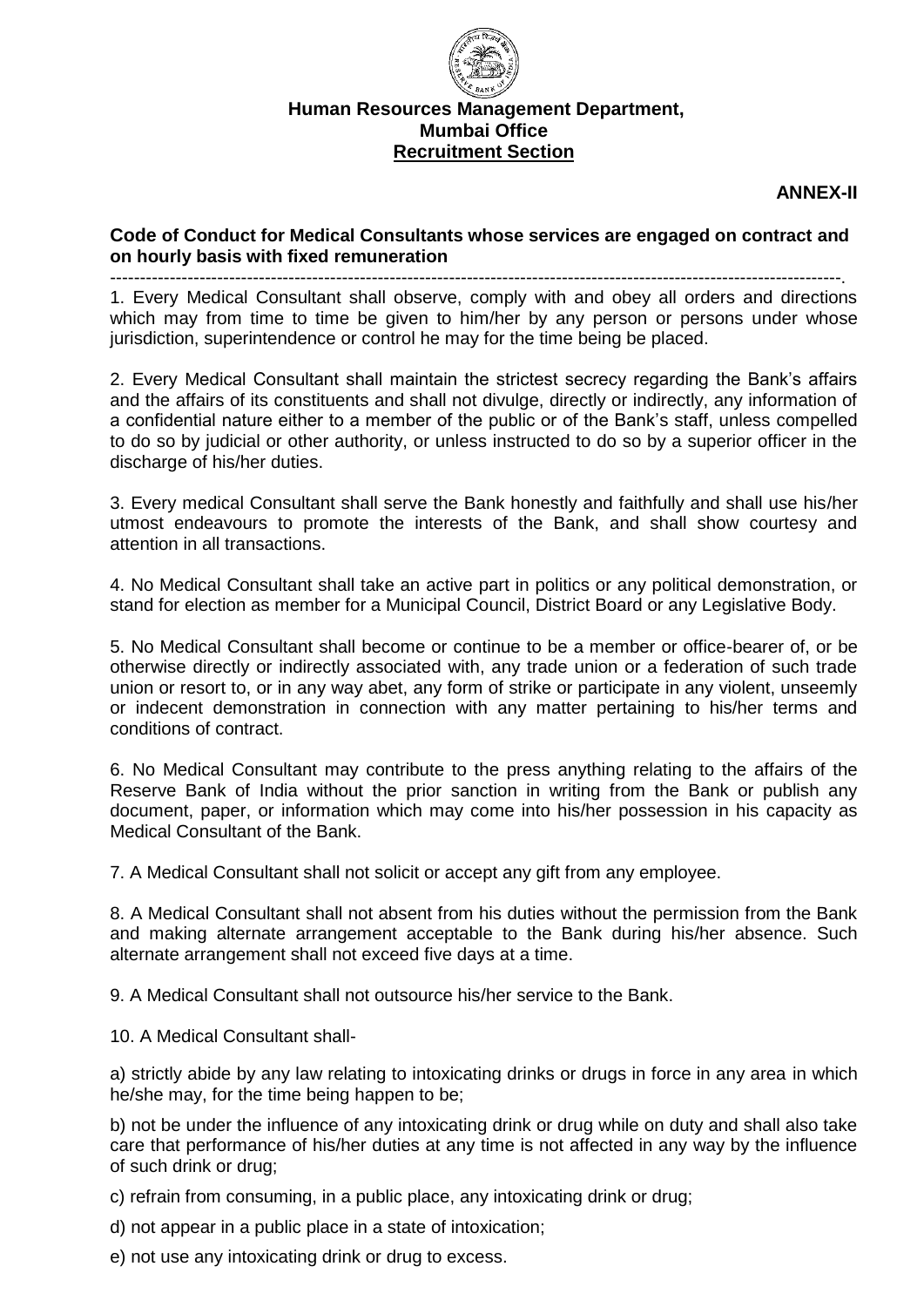

# **Human Resources Management Department, Mumbai Office Recruitment Section**

**ANNEX-II** 

### **Code of Conduct for Medical Consultants whose services are engaged on contract and on hourly basis with fixed remuneration**

---------------------------------------------------------------------------------------------------------------------------.

1. Every Medical Consultant shall observe, comply with and obey all orders and directions which may from time to time be given to him/her by any person or persons under whose jurisdiction, superintendence or control he may for the time being be placed.

2. Every Medical Consultant shall maintain the strictest secrecy regarding the Bank's affairs and the affairs of its constituents and shall not divulge, directly or indirectly, any information of a confidential nature either to a member of the public or of the Bank's staff, unless compelled to do so by judicial or other authority, or unless instructed to do so by a superior officer in the discharge of his/her duties.

3. Every medical Consultant shall serve the Bank honestly and faithfully and shall use his/her utmost endeavours to promote the interests of the Bank, and shall show courtesy and attention in all transactions.

4. No Medical Consultant shall take an active part in politics or any political demonstration, or stand for election as member for a Municipal Council, District Board or any Legislative Body.

5. No Medical Consultant shall become or continue to be a member or office-bearer of, or be otherwise directly or indirectly associated with, any trade union or a federation of such trade union or resort to, or in any way abet, any form of strike or participate in any violent, unseemly or indecent demonstration in connection with any matter pertaining to his/her terms and conditions of contract.

6. No Medical Consultant may contribute to the press anything relating to the affairs of the Reserve Bank of India without the prior sanction in writing from the Bank or publish any document, paper, or information which may come into his/her possession in his capacity as Medical Consultant of the Bank.

7. A Medical Consultant shall not solicit or accept any gift from any employee.

8. A Medical Consultant shall not absent from his duties without the permission from the Bank and making alternate arrangement acceptable to the Bank during his/her absence. Such alternate arrangement shall not exceed five days at a time.

9. A Medical Consultant shall not outsource his/her service to the Bank.

10. A Medical Consultant shall-

a) strictly abide by any law relating to intoxicating drinks or drugs in force in any area in which he/she may, for the time being happen to be;

b) not be under the influence of any intoxicating drink or drug while on duty and shall also take care that performance of his/her duties at any time is not affected in any way by the influence of such drink or drug;

c) refrain from consuming, in a public place, any intoxicating drink or drug;

d) not appear in a public place in a state of intoxication;

e) not use any intoxicating drink or drug to excess.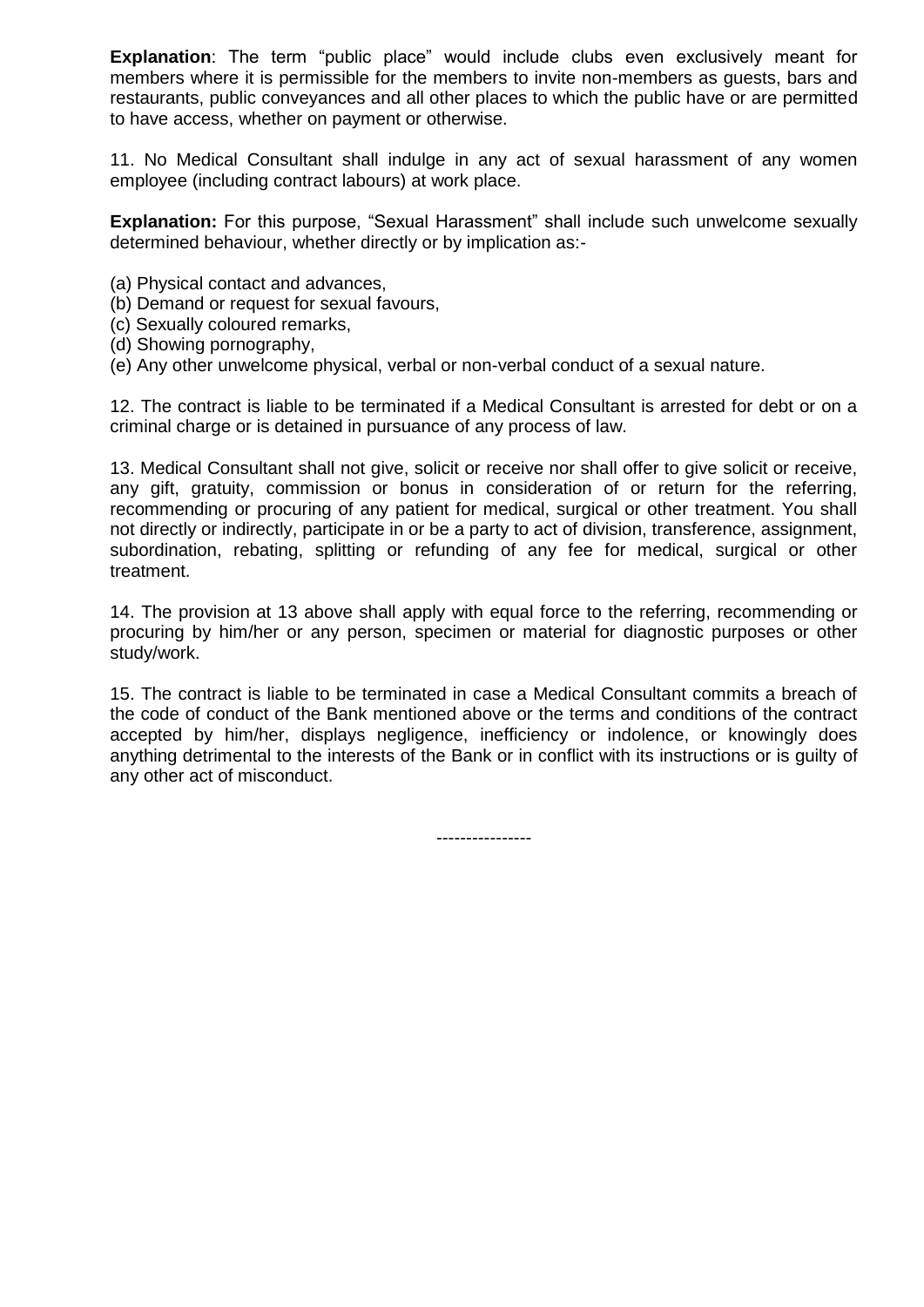**Explanation**: The term "public place" would include clubs even exclusively meant for members where it is permissible for the members to invite non-members as guests, bars and restaurants, public conveyances and all other places to which the public have or are permitted to have access, whether on payment or otherwise.

11. No Medical Consultant shall indulge in any act of sexual harassment of any women employee (including contract labours) at work place.

**Explanation:** For this purpose, "Sexual Harassment" shall include such unwelcome sexually determined behaviour, whether directly or by implication as:-

- (a) Physical contact and advances,
- (b) Demand or request for sexual favours,
- (c) Sexually coloured remarks,
- (d) Showing pornography,
- (e) Any other unwelcome physical, verbal or non-verbal conduct of a sexual nature.

12. The contract is liable to be terminated if a Medical Consultant is arrested for debt or on a criminal charge or is detained in pursuance of any process of law.

13. Medical Consultant shall not give, solicit or receive nor shall offer to give solicit or receive, any gift, gratuity, commission or bonus in consideration of or return for the referring, recommending or procuring of any patient for medical, surgical or other treatment. You shall not directly or indirectly, participate in or be a party to act of division, transference, assignment, subordination, rebating, splitting or refunding of any fee for medical, surgical or other treatment.

14. The provision at 13 above shall apply with equal force to the referring, recommending or procuring by him/her or any person, specimen or material for diagnostic purposes or other study/work.

15. The contract is liable to be terminated in case a Medical Consultant commits a breach of the code of conduct of the Bank mentioned above or the terms and conditions of the contract accepted by him/her, displays negligence, inefficiency or indolence, or knowingly does anything detrimental to the interests of the Bank or in conflict with its instructions or is guilty of any other act of misconduct.

----------------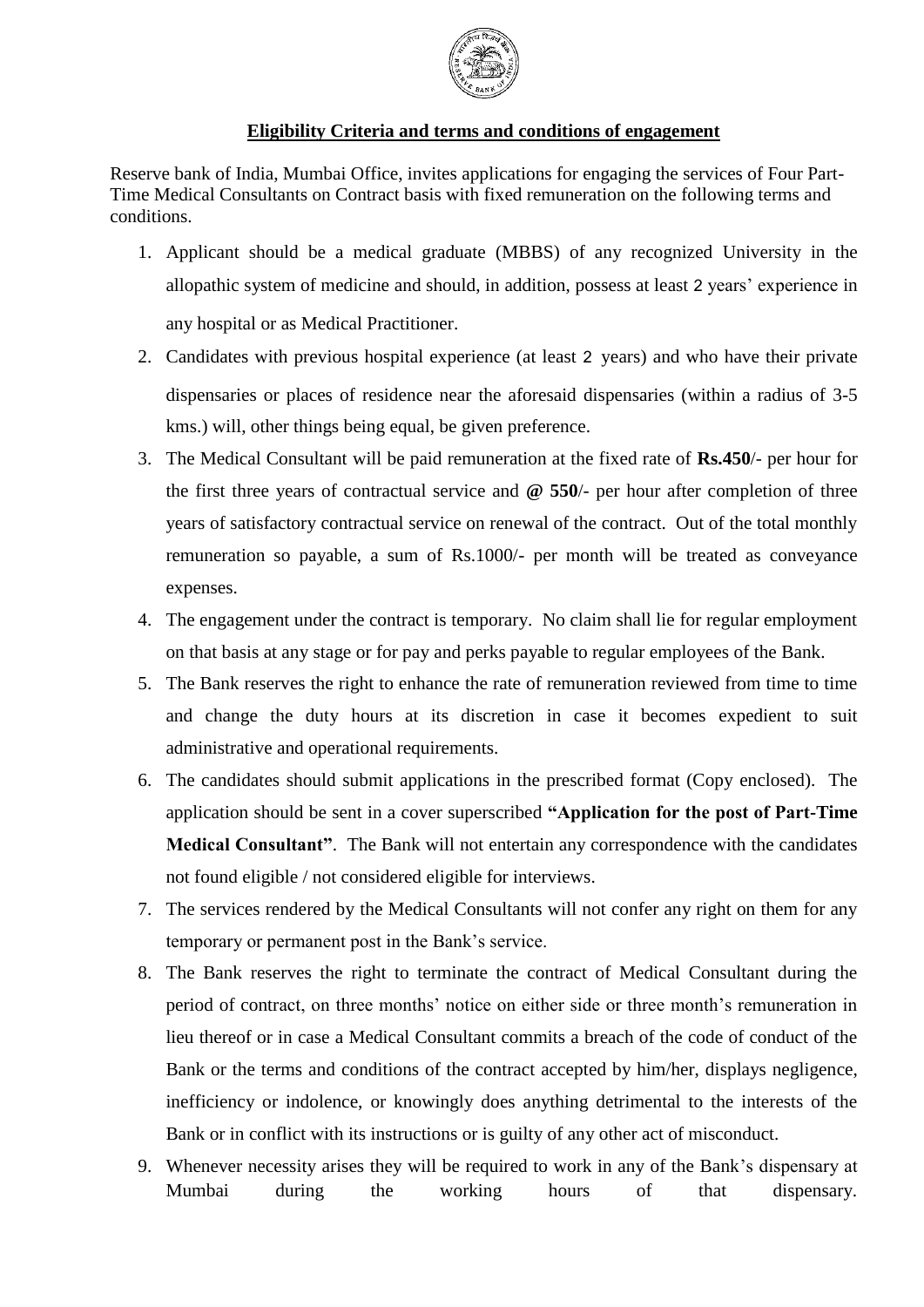

# **Eligibility Criteria and terms and conditions of engagement**

Reserve bank of India, Mumbai Office, invites applications for engaging the services of Four Part-Time Medical Consultants on Contract basis with fixed remuneration on the following terms and conditions.

- 1. Applicant should be a medical graduate (MBBS) of any recognized University in the allopathic system of medicine and should, in addition, possess at least 2 years' experience in any hospital or as Medical Practitioner.
- 2. Candidates with previous hospital experience (at least 2 years) and who have their private dispensaries or places of residence near the aforesaid dispensaries (within a radius of 3-5 kms.) will, other things being equal, be given preference.
- 3. The Medical Consultant will be paid remuneration at the fixed rate of **Rs.450**/- per hour for the first three years of contractual service and **@ 550**/- per hour after completion of three years of satisfactory contractual service on renewal of the contract. Out of the total monthly remuneration so payable, a sum of Rs.1000/- per month will be treated as conveyance expenses.
- 4. The engagement under the contract is temporary. No claim shall lie for regular employment on that basis at any stage or for pay and perks payable to regular employees of the Bank.
- 5. The Bank reserves the right to enhance the rate of remuneration reviewed from time to time and change the duty hours at its discretion in case it becomes expedient to suit administrative and operational requirements.
- 6. The candidates should submit applications in the prescribed format (Copy enclosed). The application should be sent in a cover superscribed **"Application for the post of Part-Time Medical Consultant"**. The Bank will not entertain any correspondence with the candidates not found eligible / not considered eligible for interviews.
- 7. The services rendered by the Medical Consultants will not confer any right on them for any temporary or permanent post in the Bank's service.
- 8. The Bank reserves the right to terminate the contract of Medical Consultant during the period of contract, on three months' notice on either side or three month's remuneration in lieu thereof or in case a Medical Consultant commits a breach of the code of conduct of the Bank or the terms and conditions of the contract accepted by him/her, displays negligence, inefficiency or indolence, or knowingly does anything detrimental to the interests of the Bank or in conflict with its instructions or is guilty of any other act of misconduct.
- 9. Whenever necessity arises they will be required to work in any of the Bank's dispensary at Mumbai during the working hours of that dispensary.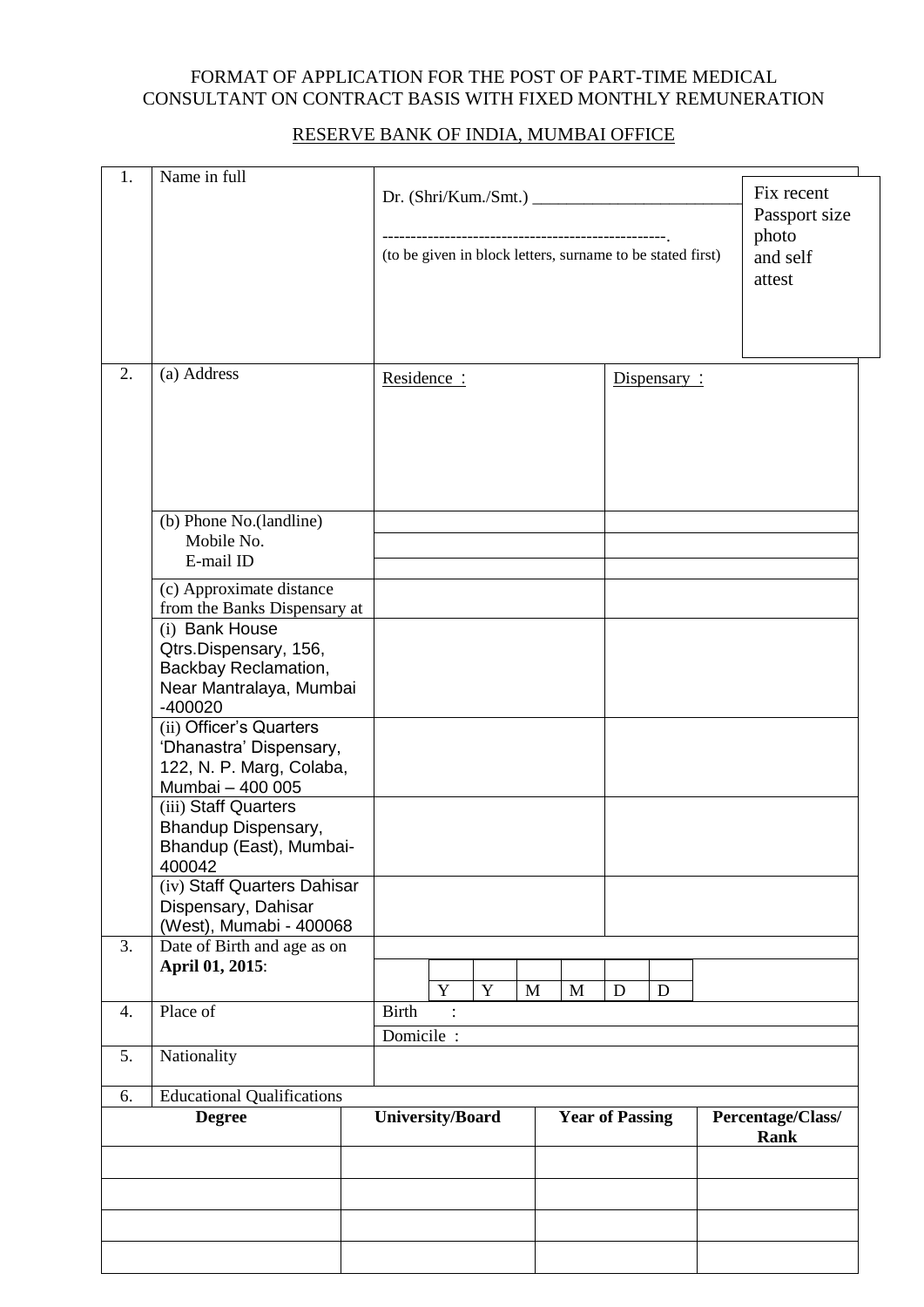### FORMAT OF APPLICATION FOR THE POST OF PART-TIME MEDICAL CONSULTANT ON CONTRACT BASIS WITH FIXED MONTHLY REMUNERATION

### RESERVE BANK OF INDIA, MUMBAI OFFICE

| 1.                                                       | Name in full                                                                                                                | (to be given in block letters, surname to be stated first) |        |                        | Fix recent<br>Passport size |
|----------------------------------------------------------|-----------------------------------------------------------------------------------------------------------------------------|------------------------------------------------------------|--------|------------------------|-----------------------------|
|                                                          |                                                                                                                             |                                                            |        |                        | photo<br>and self<br>attest |
| 2.                                                       | (a) Address                                                                                                                 | Residence:                                                 |        | Dispensary:            |                             |
|                                                          | (b) Phone No.(landline)<br>Mobile No.<br>E-mail ID                                                                          |                                                            |        |                        |                             |
|                                                          | (c) Approximate distance<br>from the Banks Dispensary at<br>(i) Bank House<br>Qtrs.Dispensary, 156,<br>Backbay Reclamation, |                                                            |        |                        |                             |
|                                                          | Near Mantralaya, Mumbai<br>$-400020$                                                                                        |                                                            |        |                        |                             |
|                                                          | (ii) Officer's Quarters<br>'Dhanastra' Dispensary,<br>122, N. P. Marg, Colaba,<br>Mumbai - 400 005<br>(iii) Staff Quarters  |                                                            |        |                        |                             |
|                                                          | Bhandup Dispensary,<br>Bhandup (East), Mumbai-<br>400042                                                                    |                                                            |        |                        |                             |
|                                                          | (iv) Staff Quarters Dahisar<br>Dispensary, Dahisar<br>(West), Mumabi - 400068                                               |                                                            |        |                        |                             |
| 3.                                                       | Date of Birth and age as on<br>April 01, 2015:                                                                              | Y<br>$\mathbf Y$                                           | M<br>M | $\mathbf D$<br>D       |                             |
| $\overline{4}$ .                                         | Place of                                                                                                                    | <b>Birth</b><br>Domicile :                                 |        |                        |                             |
| 5.                                                       | Nationality                                                                                                                 |                                                            |        |                        |                             |
| <b>Educational Qualifications</b><br>6.<br><b>Degree</b> |                                                                                                                             | <b>University/Board</b>                                    |        | <b>Year of Passing</b> | Percentage/Class/           |
|                                                          |                                                                                                                             |                                                            |        |                        | Rank                        |
|                                                          |                                                                                                                             |                                                            |        |                        |                             |
|                                                          |                                                                                                                             |                                                            |        |                        |                             |
|                                                          |                                                                                                                             |                                                            |        |                        |                             |